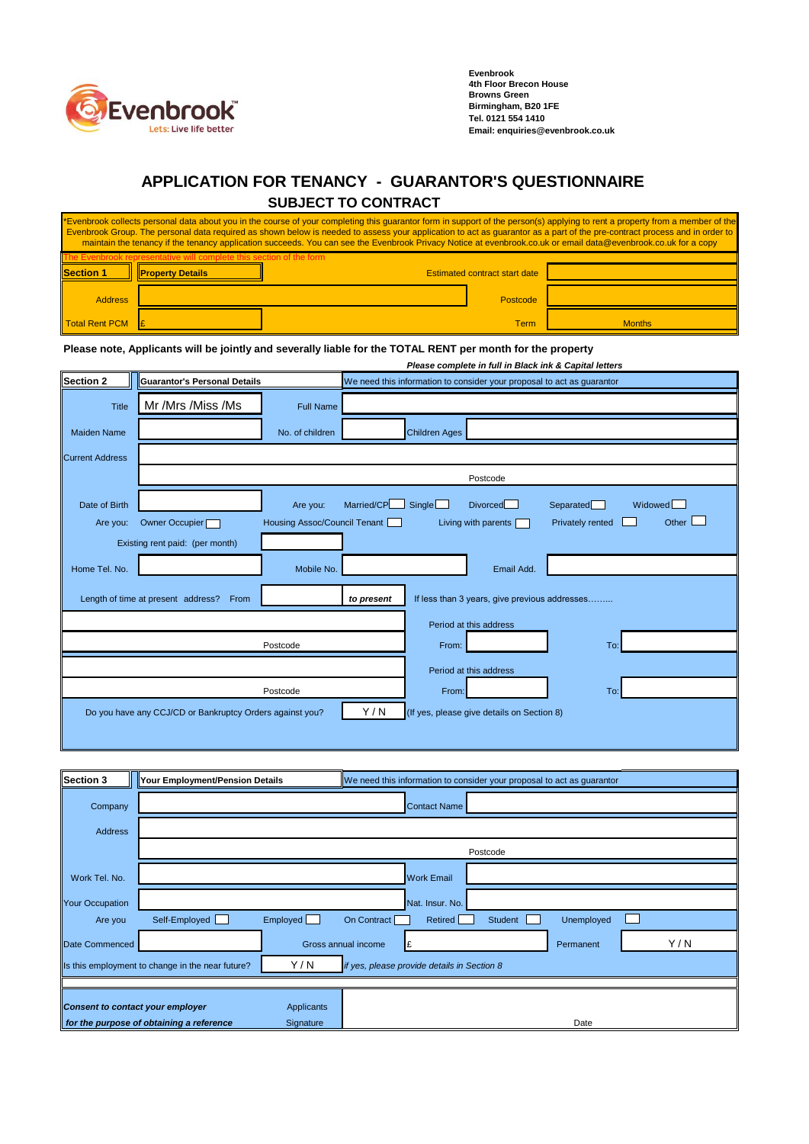

**Evenbrook 4th Floor Brecon House Browns Green Birmingham, B20 1FE Tel. 0121 554 1410 Email: enquiries@evenbrook.co.uk** 

## **APPLICATION FOR TENANCY - GUARANTOR'S QUESTIONNAIRE SUBJECT TO CONTRACT**

| *Evenbrook collects personal data about you in the course of your completing this guarantor form in support of the person(s) applying to rent a property from a member of the<br>Evenbrook Group. The personal data required as shown below is needed to assess your application to act as guarantor as a part of the pre-contract process and in order to<br>maintain the tenancy if the tenancy application succeeds. You can see the Evenbrook Privacy Notice at evenbrook.co.uk or email data@evenbrook.co.uk for a copy |                         |                                      |          |               |  |
|------------------------------------------------------------------------------------------------------------------------------------------------------------------------------------------------------------------------------------------------------------------------------------------------------------------------------------------------------------------------------------------------------------------------------------------------------------------------------------------------------------------------------|-------------------------|--------------------------------------|----------|---------------|--|
| ok representative will complete this section of the form                                                                                                                                                                                                                                                                                                                                                                                                                                                                     |                         |                                      |          |               |  |
| <b>Section 1</b>                                                                                                                                                                                                                                                                                                                                                                                                                                                                                                             | <b>Property Details</b> | <b>Estimated contract start date</b> |          |               |  |
| <b>Address</b>                                                                                                                                                                                                                                                                                                                                                                                                                                                                                                               |                         |                                      | Postcode |               |  |
| Total Rent PCM                                                                                                                                                                                                                                                                                                                                                                                                                                                                                                               |                         |                                      | Term     | <b>Months</b> |  |

**Please note, Applicants will be jointly and severally liable for the TOTAL RENT per month for the property**

*Please complete in full in Black ink & Capital letters* **Section 2 Guarantor's Personal Details** We need this information to consider your proposal to act as guarantor Title Mr /Mrs /Miss /Ms Full Name Maiden Name No. of children Children Ages Current Address Postcode Date of Birth **Are you:** Married/CP Single Divorced Separated Widowed Widowed Are you: Owner Occupier Housing Assoc/Council Tenant Living with parents Privately rented Other Dether D Existing rent paid: (per month) Home Tel. No. **Email Add.** Mobile No. **Mobile No. Email Add. Email Add.** Length of time at present address? From **the present the present** If less than 3 years, give previous addresses........ Period at this address Postcode From: To: Period at this address Postcode From: To: Do you have any CCJ/CD or Bankruptcy Orders against you? Y / N (If yes, please give details on Section 8)

| <b>Section 3</b>                                                                                         | Your Employment/Pension Details                               |          | We need this information to consider your proposal to act as guarantor |         |            |     |  |
|----------------------------------------------------------------------------------------------------------|---------------------------------------------------------------|----------|------------------------------------------------------------------------|---------|------------|-----|--|
| Company                                                                                                  |                                                               |          | <b>Contact Name</b>                                                    |         |            |     |  |
| Address                                                                                                  |                                                               |          |                                                                        |         |            |     |  |
|                                                                                                          | Postcode                                                      |          |                                                                        |         |            |     |  |
| Work Tel. No.                                                                                            |                                                               |          | <b>Work Email</b>                                                      |         |            |     |  |
| <b>Your Occupation</b>                                                                                   |                                                               |          | Nat. Insur. No.                                                        |         |            |     |  |
| Are you                                                                                                  | Self-Employed<br><b>Contract</b>                              | Employed | On Contract<br>Retired                                                 | Student | Unemployed |     |  |
| Date Commenced                                                                                           |                                                               |          | Gross annual income                                                    |         | Permanent  | Y/N |  |
| Y / N<br>Is this employment to change in the near future?<br>if yes, please provide details in Section 8 |                                                               |          |                                                                        |         |            |     |  |
|                                                                                                          |                                                               |          |                                                                        |         |            |     |  |
| Consent to contact your employer<br>Applicants                                                           |                                                               |          |                                                                        |         |            |     |  |
|                                                                                                          | for the purpose of obtaining a reference<br>Date<br>Signature |          |                                                                        |         |            |     |  |